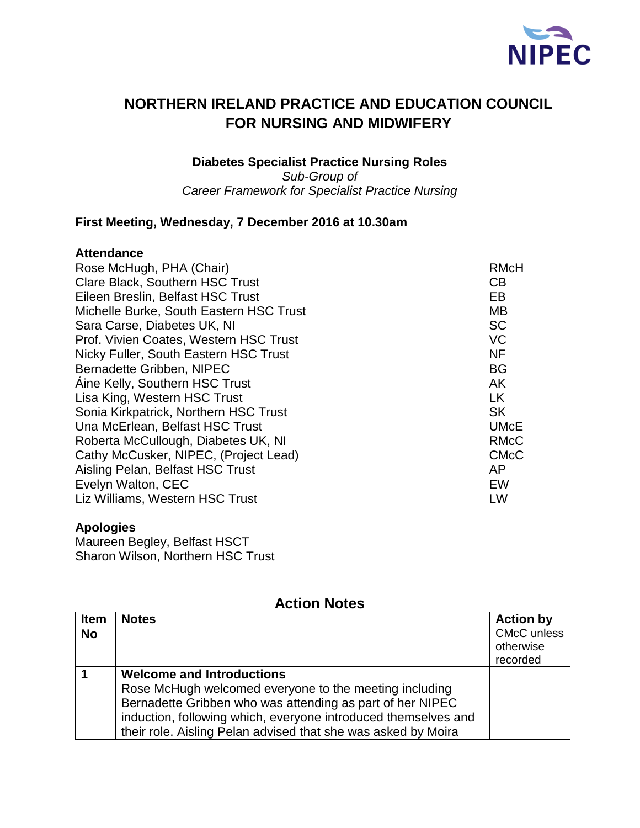

# **NORTHERN IRELAND PRACTICE AND EDUCATION COUNCIL FOR NURSING AND MIDWIFERY**

**Diabetes Specialist Practice Nursing Roles** *Sub-Group of Career Framework for Specialist Practice Nursing* 

## **First Meeting, Wednesday, 7 December 2016 at 10.30am**

#### **Attendance**

| Rose McHugh, PHA (Chair)                | <b>RMcH</b> |
|-----------------------------------------|-------------|
| <b>Clare Black, Southern HSC Trust</b>  | CB          |
| Eileen Breslin, Belfast HSC Trust       | EB          |
| Michelle Burke, South Eastern HSC Trust | <b>MB</b>   |
| Sara Carse, Diabetes UK, NI             | <b>SC</b>   |
| Prof. Vivien Coates, Western HSC Trust  | <b>VC</b>   |
| Nicky Fuller, South Eastern HSC Trust   | <b>NF</b>   |
| Bernadette Gribben, NIPEC               | <b>BG</b>   |
| Aine Kelly, Southern HSC Trust          | AK          |
| Lisa King, Western HSC Trust            | <b>LK</b>   |
| Sonia Kirkpatrick, Northern HSC Trust   | <b>SK</b>   |
| Una McErlean, Belfast HSC Trust         | <b>UMcE</b> |
| Roberta McCullough, Diabetes UK, NI     | <b>RMcC</b> |
| Cathy McCusker, NIPEC, (Project Lead)   | <b>CMcC</b> |
| Aisling Pelan, Belfast HSC Trust        | AP          |
| Evelyn Walton, CEC                      | EW          |
| Liz Williams, Western HSC Trust         | LW          |
|                                         |             |

### **Apologies**

Maureen Begley, Belfast HSCT Sharon Wilson, Northern HSC Trust

| ALLIUII INULES           |                                                                                                                                                                                                                                                                                            |                                                                 |  |
|--------------------------|--------------------------------------------------------------------------------------------------------------------------------------------------------------------------------------------------------------------------------------------------------------------------------------------|-----------------------------------------------------------------|--|
| <b>Item</b><br><b>No</b> | <b>Notes</b>                                                                                                                                                                                                                                                                               | <b>Action by</b><br><b>CMcC</b> unless<br>otherwise<br>recorded |  |
|                          | <b>Welcome and Introductions</b><br>Rose McHugh welcomed everyone to the meeting including<br>Bernadette Gribben who was attending as part of her NIPEC<br>induction, following which, everyone introduced themselves and<br>their role. Aisling Pelan advised that she was asked by Moira |                                                                 |  |

# **Action Notes**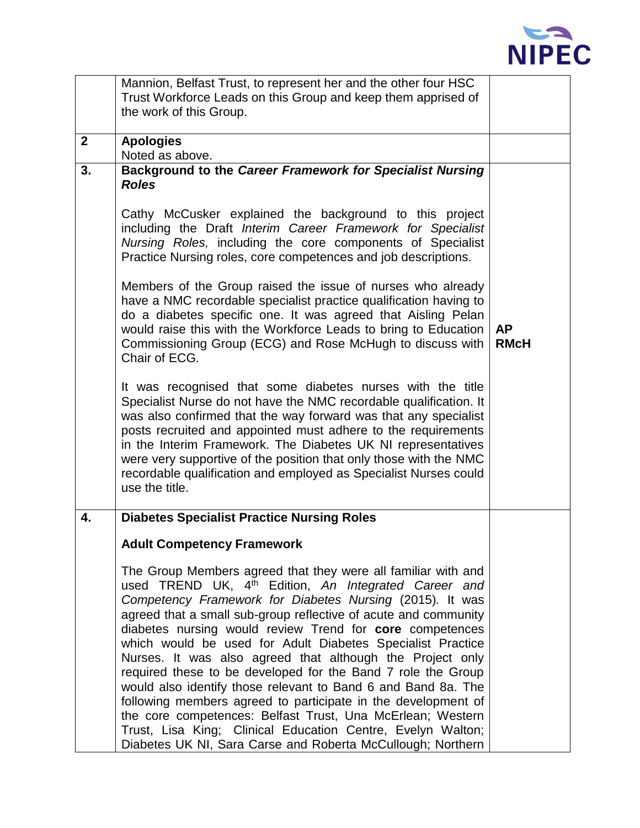

|              | Mannion, Belfast Trust, to represent her and the other four HSC                                                                                                                                                                                                                                                                                                                                                                                                                                                                                                                                                                                                                                                                                                                                                                                       |                          |
|--------------|-------------------------------------------------------------------------------------------------------------------------------------------------------------------------------------------------------------------------------------------------------------------------------------------------------------------------------------------------------------------------------------------------------------------------------------------------------------------------------------------------------------------------------------------------------------------------------------------------------------------------------------------------------------------------------------------------------------------------------------------------------------------------------------------------------------------------------------------------------|--------------------------|
|              | Trust Workforce Leads on this Group and keep them apprised of                                                                                                                                                                                                                                                                                                                                                                                                                                                                                                                                                                                                                                                                                                                                                                                         |                          |
|              | the work of this Group.                                                                                                                                                                                                                                                                                                                                                                                                                                                                                                                                                                                                                                                                                                                                                                                                                               |                          |
|              |                                                                                                                                                                                                                                                                                                                                                                                                                                                                                                                                                                                                                                                                                                                                                                                                                                                       |                          |
| $\mathbf{2}$ | <b>Apologies</b>                                                                                                                                                                                                                                                                                                                                                                                                                                                                                                                                                                                                                                                                                                                                                                                                                                      |                          |
|              | Noted as above.                                                                                                                                                                                                                                                                                                                                                                                                                                                                                                                                                                                                                                                                                                                                                                                                                                       |                          |
| 3.           | Background to the Career Framework for Specialist Nursing<br><b>Roles</b><br>Cathy McCusker explained the background to this project<br>including the Draft Interim Career Framework for Specialist<br>Nursing Roles, including the core components of Specialist<br>Practice Nursing roles, core competences and job descriptions.<br>Members of the Group raised the issue of nurses who already<br>have a NMC recordable specialist practice qualification having to<br>do a diabetes specific one. It was agreed that Aisling Pelan<br>would raise this with the Workforce Leads to bring to Education<br>Commissioning Group (ECG) and Rose McHugh to discuss with<br>Chair of ECG.<br>It was recognised that some diabetes nurses with the title<br>Specialist Nurse do not have the NMC recordable qualification. It                           | <b>AP</b><br><b>RMcH</b> |
|              | was also confirmed that the way forward was that any specialist<br>posts recruited and appointed must adhere to the requirements<br>in the Interim Framework. The Diabetes UK NI representatives<br>were very supportive of the position that only those with the NMC<br>recordable qualification and employed as Specialist Nurses could<br>use the title.                                                                                                                                                                                                                                                                                                                                                                                                                                                                                           |                          |
| 4.           | <b>Diabetes Specialist Practice Nursing Roles</b>                                                                                                                                                                                                                                                                                                                                                                                                                                                                                                                                                                                                                                                                                                                                                                                                     |                          |
|              | <b>Adult Competency Framework</b>                                                                                                                                                                                                                                                                                                                                                                                                                                                                                                                                                                                                                                                                                                                                                                                                                     |                          |
|              | The Group Members agreed that they were all familiar with and<br>used TREND UK, 4 <sup>th</sup> Edition, An Integrated Career and<br>Competency Framework for Diabetes Nursing (2015). It was<br>agreed that a small sub-group reflective of acute and community<br>diabetes nursing would review Trend for core competences<br>which would be used for Adult Diabetes Specialist Practice<br>Nurses. It was also agreed that although the Project only<br>required these to be developed for the Band 7 role the Group<br>would also identify those relevant to Band 6 and Band 8a. The<br>following members agreed to participate in the development of<br>the core competences: Belfast Trust, Una McErlean; Western<br>Trust, Lisa King; Clinical Education Centre, Evelyn Walton;<br>Diabetes UK NI, Sara Carse and Roberta McCullough; Northern |                          |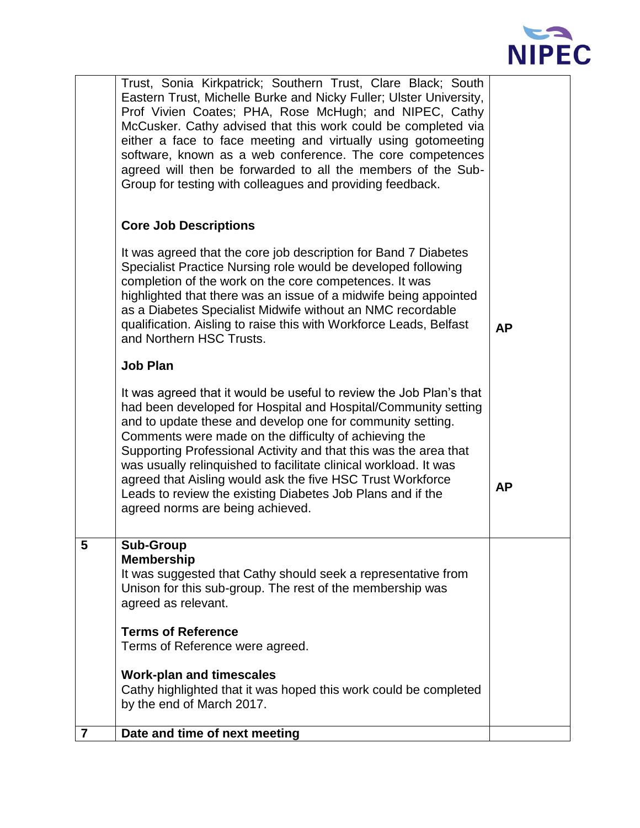

|                         | Trust, Sonia Kirkpatrick; Southern Trust, Clare Black; South<br>Eastern Trust, Michelle Burke and Nicky Fuller; Ulster University,<br>Prof Vivien Coates; PHA, Rose McHugh; and NIPEC, Cathy<br>McCusker. Cathy advised that this work could be completed via<br>either a face to face meeting and virtually using gotomeeting<br>software, known as a web conference. The core competences<br>agreed will then be forwarded to all the members of the Sub-<br>Group for testing with colleagues and providing feedback.<br><b>Core Job Descriptions</b><br>It was agreed that the core job description for Band 7 Diabetes<br>Specialist Practice Nursing role would be developed following<br>completion of the work on the core competences. It was<br>highlighted that there was an issue of a midwife being appointed<br>as a Diabetes Specialist Midwife without an NMC recordable<br>qualification. Aisling to raise this with Workforce Leads, Belfast<br>and Northern HSC Trusts.<br><b>Job Plan</b><br>It was agreed that it would be useful to review the Job Plan's that<br>had been developed for Hospital and Hospital/Community setting<br>and to update these and develop one for community setting.<br>Comments were made on the difficulty of achieving the<br>Supporting Professional Activity and that this was the area that<br>was usually relinquished to facilitate clinical workload. It was<br>agreed that Aisling would ask the five HSC Trust Workforce<br>Leads to review the existing Diabetes Job Plans and if the<br>agreed norms are being achieved. | <b>AP</b><br><b>AP</b> |
|-------------------------|---------------------------------------------------------------------------------------------------------------------------------------------------------------------------------------------------------------------------------------------------------------------------------------------------------------------------------------------------------------------------------------------------------------------------------------------------------------------------------------------------------------------------------------------------------------------------------------------------------------------------------------------------------------------------------------------------------------------------------------------------------------------------------------------------------------------------------------------------------------------------------------------------------------------------------------------------------------------------------------------------------------------------------------------------------------------------------------------------------------------------------------------------------------------------------------------------------------------------------------------------------------------------------------------------------------------------------------------------------------------------------------------------------------------------------------------------------------------------------------------------------------------------------------------------------------------------------------|------------------------|
| 5                       | <b>Sub-Group</b><br><b>Membership</b><br>It was suggested that Cathy should seek a representative from<br>Unison for this sub-group. The rest of the membership was<br>agreed as relevant.<br><b>Terms of Reference</b><br>Terms of Reference were agreed.<br><b>Work-plan and timescales</b><br>Cathy highlighted that it was hoped this work could be completed<br>by the end of March 2017.                                                                                                                                                                                                                                                                                                                                                                                                                                                                                                                                                                                                                                                                                                                                                                                                                                                                                                                                                                                                                                                                                                                                                                                        |                        |
| $\overline{\mathbf{r}}$ | Date and time of next meeting                                                                                                                                                                                                                                                                                                                                                                                                                                                                                                                                                                                                                                                                                                                                                                                                                                                                                                                                                                                                                                                                                                                                                                                                                                                                                                                                                                                                                                                                                                                                                         |                        |